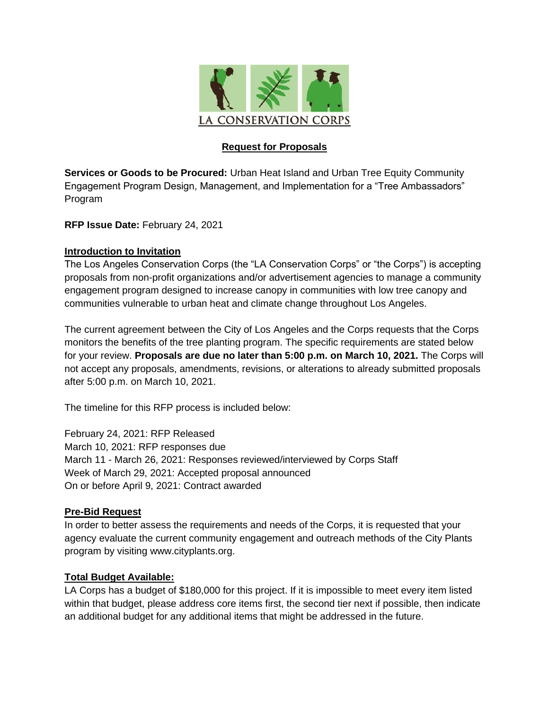

#### **Request for Proposals**

**Services or Goods to be Procured:** Urban Heat Island and Urban Tree Equity Community Engagement Program Design, Management, and Implementation for a "Tree Ambassadors" Program

**RFP Issue Date:** February 24, 2021

#### **Introduction to Invitation**

The Los Angeles Conservation Corps (the "LA Conservation Corps" or "the Corps") is accepting proposals from non-profit organizations and/or advertisement agencies to manage a community engagement program designed to increase canopy in communities with low tree canopy and communities vulnerable to urban heat and climate change throughout Los Angeles.

The current agreement between the City of Los Angeles and the Corps requests that the Corps monitors the benefits of the tree planting program. The specific requirements are stated below for your review. **Proposals are due no later than 5:00 p.m. on March 10, 2021.** The Corps will not accept any proposals, amendments, revisions, or alterations to already submitted proposals after 5:00 p.m. on March 10, 2021.

The timeline for this RFP process is included below:

February 24, 2021: RFP Released March 10, 2021: RFP responses due March 11 - March 26, 2021: Responses reviewed/interviewed by Corps Staff Week of March 29, 2021: Accepted proposal announced On or before April 9, 2021: Contract awarded

#### **Pre-Bid Request**

In order to better assess the requirements and needs of the Corps, it is requested that your agency evaluate the current community engagement and outreach methods of the City Plants program by visiting www.cityplants.org.

#### **Total Budget Available:**

LA Corps has a budget of \$180,000 for this project. If it is impossible to meet every item listed within that budget, please address core items first, the second tier next if possible, then indicate an additional budget for any additional items that might be addressed in the future.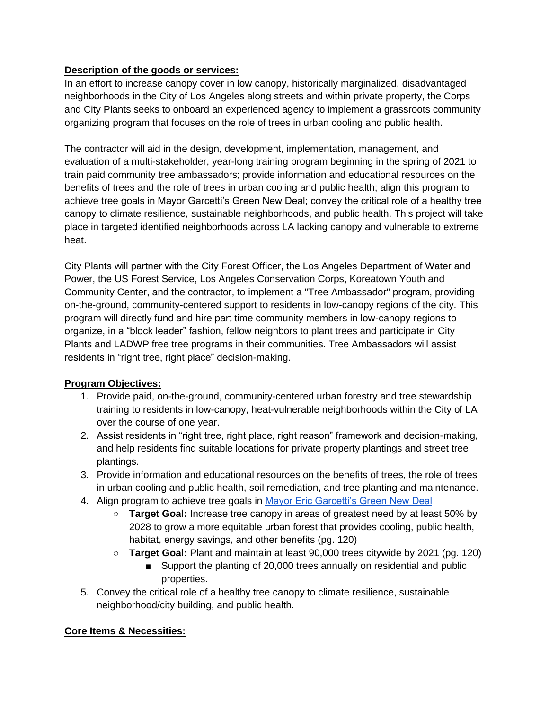#### **Description of the goods or services:**

In an effort to increase canopy cover in low canopy, historically marginalized, disadvantaged neighborhoods in the City of Los Angeles along streets and within private property, the Corps and City Plants seeks to onboard an experienced agency to implement a grassroots community organizing program that focuses on the role of trees in urban cooling and public health.

The contractor will aid in the design, development, implementation, management, and evaluation of a multi-stakeholder, year-long training program beginning in the spring of 2021 to train paid community tree ambassadors; provide information and educational resources on the benefits of trees and the role of trees in urban cooling and public health; align this program to achieve tree goals in Mayor Garcetti's Green New Deal; convey the critical role of a healthy tree canopy to climate resilience, sustainable neighborhoods, and public health. This project will take place in targeted identified neighborhoods across LA lacking canopy and vulnerable to extreme heat.

City Plants will partner with the City Forest Officer, the Los Angeles Department of Water and Power, the US Forest Service, Los Angeles Conservation Corps, Koreatown Youth and Community Center, and the contractor, to implement a "Tree Ambassador" program, providing on-the-ground, community-centered support to residents in low-canopy regions of the city. This program will directly fund and hire part time community members in low-canopy regions to organize, in a "block leader" fashion, fellow neighbors to plant trees and participate in City Plants and LADWP free tree programs in their communities. Tree Ambassadors will assist residents in "right tree, right place" decision-making.

## **Program Objectives:**

- 1. Provide paid, on-the-ground, community-centered urban forestry and tree stewardship training to residents in low-canopy, heat-vulnerable neighborhoods within the City of LA over the course of one year.
- 2. Assist residents in "right tree, right place, right reason" framework and decision-making, and help residents find suitable locations for private property plantings and street tree plantings.
- 3. Provide information and educational resources on the benefits of trees, the role of trees in urban cooling and public health, soil remediation, and tree planting and maintenance.
- 4. Align program to achieve tree goals in [Mayor Eric Garcetti's Green New Deal](http://plan.lamayor.org/sites/default/files/pLAn_2019_final.pdf)
	- **Target Goal:** Increase tree canopy in areas of greatest need by at least 50% by 2028 to grow a more equitable urban forest that provides cooling, public health, habitat, energy savings, and other benefits (pg. 120)
	- **Target Goal:** Plant and maintain at least 90,000 trees citywide by 2021 (pg. 120)
		- Support the planting of 20,000 trees annually on residential and public properties.
- 5. Convey the critical role of a healthy tree canopy to climate resilience, sustainable neighborhood/city building, and public health.

## **Core Items & Necessities:**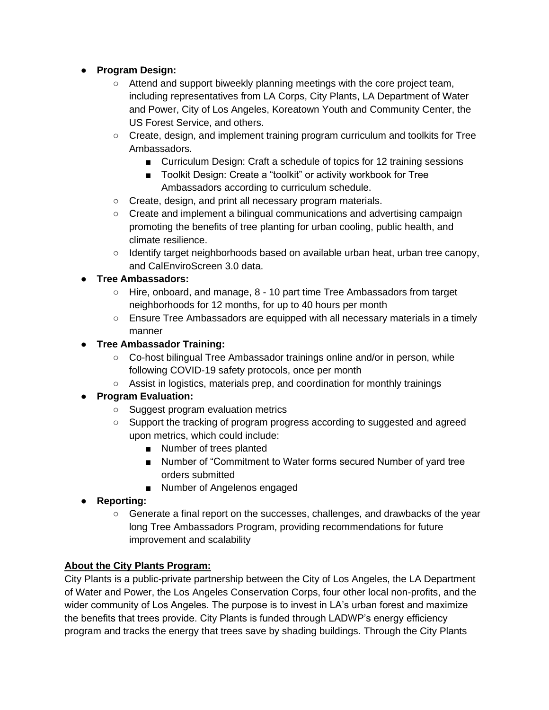## ● **Program Design:**

- Attend and support biweekly planning meetings with the core project team, including representatives from LA Corps, City Plants, LA Department of Water and Power, City of Los Angeles, Koreatown Youth and Community Center, the US Forest Service, and others.
- Create, design, and implement training program curriculum and toolkits for Tree Ambassadors.
	- Curriculum Design: Craft a schedule of topics for 12 training sessions
	- Toolkit Design: Create a "toolkit" or activity workbook for Tree Ambassadors according to curriculum schedule.
- Create, design, and print all necessary program materials.
- Create and implement a bilingual communications and advertising campaign promoting the benefits of tree planting for urban cooling, public health, and climate resilience.
- Identify target neighborhoods based on available urban heat, urban tree canopy, and CalEnviroScreen 3.0 data.

## ● **Tree Ambassadors:**

- Hire, onboard, and manage, 8 10 part time Tree Ambassadors from target neighborhoods for 12 months, for up to 40 hours per month
- Ensure Tree Ambassadors are equipped with all necessary materials in a timely manner

# ● **Tree Ambassador Training:**

- Co-host bilingual Tree Ambassador trainings online and/or in person, while following COVID-19 safety protocols, once per month
- Assist in logistics, materials prep, and coordination for monthly trainings

# ● **Program Evaluation:**

- Suggest program evaluation metrics
- Support the tracking of program progress according to suggested and agreed upon metrics, which could include:
	- Number of trees planted
	- Number of "Commitment to Water forms secured Number of yard tree orders submitted
	- Number of Angelenos engaged
- **Reporting:**
	- Generate a final report on the successes, challenges, and drawbacks of the year long Tree Ambassadors Program, providing recommendations for future improvement and scalability

# **About the City Plants Program:**

City Plants is a public-private partnership between the City of Los Angeles, the LA Department of Water and Power, the Los Angeles Conservation Corps, four other local non-profits, and the wider community of Los Angeles. The purpose is to invest in LA's urban forest and maximize the benefits that trees provide. City Plants is funded through LADWP's energy efficiency program and tracks the energy that trees save by shading buildings. Through the City Plants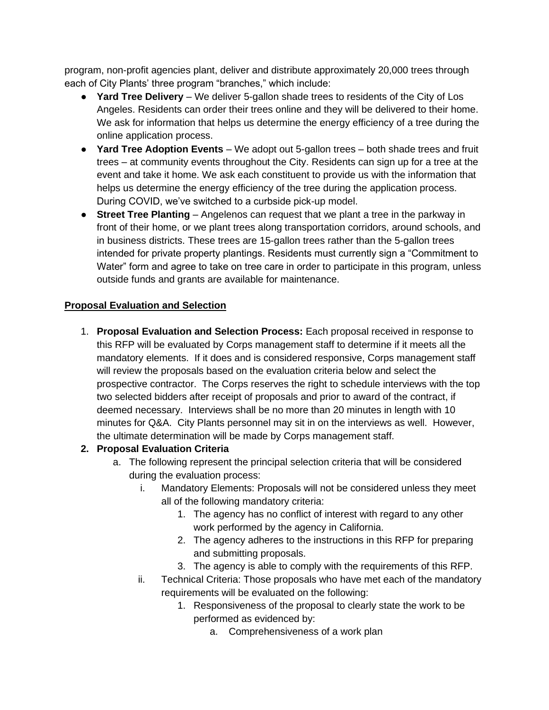program, non-profit agencies plant, deliver and distribute approximately 20,000 trees through each of City Plants' three program "branches," which include:

- **Yard Tree Delivery**  We deliver 5-gallon shade trees to residents of the City of Los Angeles. Residents can order their trees online and they will be delivered to their home. We ask for information that helps us determine the energy efficiency of a tree during the online application process.
- **Yard Tree Adoption Events** We adopt out 5-gallon trees both shade trees and fruit trees – at community events throughout the City. Residents can sign up for a tree at the event and take it home. We ask each constituent to provide us with the information that helps us determine the energy efficiency of the tree during the application process. During COVID, we've switched to a curbside pick-up model.
- **Street Tree Planting**  Angelenos can request that we plant a tree in the parkway in front of their home, or we plant trees along transportation corridors, around schools, and in business districts. These trees are 15-gallon trees rather than the 5-gallon trees intended for private property plantings. Residents must currently sign a "Commitment to Water" form and agree to take on tree care in order to participate in this program, unless outside funds and grants are available for maintenance.

## **Proposal Evaluation and Selection**

1. **Proposal Evaluation and Selection Process:** Each proposal received in response to this RFP will be evaluated by Corps management staff to determine if it meets all the mandatory elements. If it does and is considered responsive, Corps management staff will review the proposals based on the evaluation criteria below and select the prospective contractor. The Corps reserves the right to schedule interviews with the top two selected bidders after receipt of proposals and prior to award of the contract, if deemed necessary. Interviews shall be no more than 20 minutes in length with 10 minutes for Q&A. City Plants personnel may sit in on the interviews as well. However, the ultimate determination will be made by Corps management staff.

## **2. Proposal Evaluation Criteria**

- a. The following represent the principal selection criteria that will be considered during the evaluation process:
	- i. Mandatory Elements: Proposals will not be considered unless they meet all of the following mandatory criteria:
		- 1. The agency has no conflict of interest with regard to any other work performed by the agency in California.
		- 2. The agency adheres to the instructions in this RFP for preparing and submitting proposals.
		- 3. The agency is able to comply with the requirements of this RFP.
	- ii. Technical Criteria: Those proposals who have met each of the mandatory requirements will be evaluated on the following:
		- 1. Responsiveness of the proposal to clearly state the work to be performed as evidenced by:
			- a. Comprehensiveness of a work plan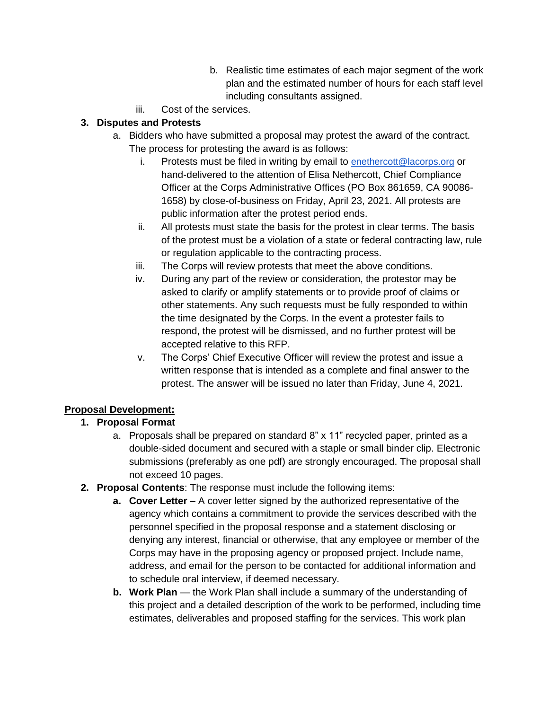- b. Realistic time estimates of each major segment of the work plan and the estimated number of hours for each staff level including consultants assigned.
- iii. Cost of the services.

# **3. Disputes and Protests**

- a. Bidders who have submitted a proposal may protest the award of the contract. The process for protesting the award is as follows:
	- i. Protests must be filed in writing by email to [enethercott@lacorps.org](mailto:enethercott@lacorps.org) or hand-delivered to the attention of Elisa Nethercott, Chief Compliance Officer at the Corps Administrative Offices (PO Box 861659, CA 90086- 1658) by close-of-business on Friday, April 23, 2021. All protests are public information after the protest period ends.
	- ii. All protests must state the basis for the protest in clear terms. The basis of the protest must be a violation of a state or federal contracting law, rule or regulation applicable to the contracting process.
	- iii. The Corps will review protests that meet the above conditions.
	- iv. During any part of the review or consideration, the protestor may be asked to clarify or amplify statements or to provide proof of claims or other statements. Any such requests must be fully responded to within the time designated by the Corps. In the event a protester fails to respond, the protest will be dismissed, and no further protest will be accepted relative to this RFP.
	- v. The Corps' Chief Executive Officer will review the protest and issue a written response that is intended as a complete and final answer to the protest. The answer will be issued no later than Friday, June 4, 2021.

# **Proposal Development:**

# **1. Proposal Format**

- a. Proposals shall be prepared on standard 8" x 11" recycled paper, printed as a double-sided document and secured with a staple or small binder clip. Electronic submissions (preferably as one pdf) are strongly encouraged. The proposal shall not exceed 10 pages.
- **2. Proposal Contents**: The response must include the following items:
	- **a. Cover Letter** A cover letter signed by the authorized representative of the agency which contains a commitment to provide the services described with the personnel specified in the proposal response and a statement disclosing or denying any interest, financial or otherwise, that any employee or member of the Corps may have in the proposing agency or proposed project. Include name, address, and email for the person to be contacted for additional information and to schedule oral interview, if deemed necessary.
	- **b. Work Plan** the Work Plan shall include a summary of the understanding of this project and a detailed description of the work to be performed, including time estimates, deliverables and proposed staffing for the services. This work plan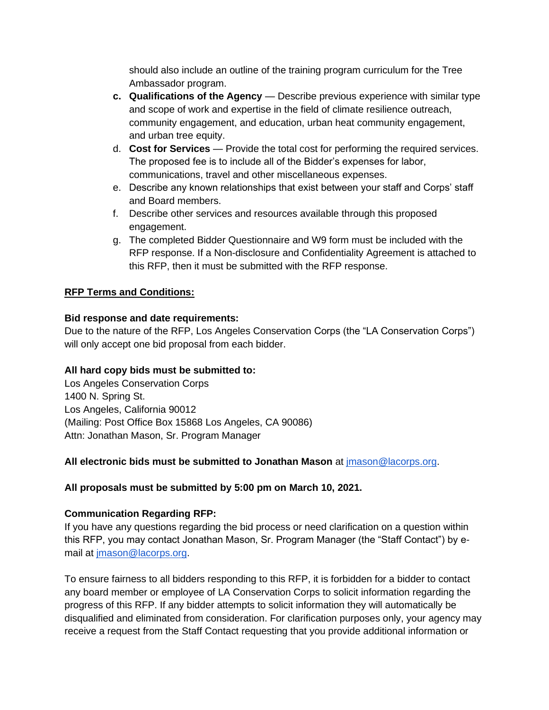should also include an outline of the training program curriculum for the Tree Ambassador program.

- **c. Qualifications of the Agency**  Describe previous experience with similar type and scope of work and expertise in the field of climate resilience outreach, community engagement, and education, urban heat community engagement, and urban tree equity.
- d. **Cost for Services**  Provide the total cost for performing the required services. The proposed fee is to include all of the Bidder's expenses for labor, communications, travel and other miscellaneous expenses.
- e. Describe any known relationships that exist between your staff and Corps' staff and Board members.
- f. Describe other services and resources available through this proposed engagement.
- g. The completed Bidder Questionnaire and W9 form must be included with the RFP response. If a Non-disclosure and Confidentiality Agreement is attached to this RFP, then it must be submitted with the RFP response.

## **RFP Terms and Conditions:**

#### **Bid response and date requirements:**

Due to the nature of the RFP, Los Angeles Conservation Corps (the "LA Conservation Corps") will only accept one bid proposal from each bidder.

## **All hard copy bids must be submitted to:**

Los Angeles Conservation Corps 1400 N. Spring St. Los Angeles, California 90012 (Mailing: Post Office Box 15868 Los Angeles, CA 90086) Attn: Jonathan Mason, Sr. Program Manager

## **All electronic bids must be submitted to Jonathan Mason** at [jmason@lacorps.org.](mailto:jmason@lacorps.org)

## **All proposals must be submitted by 5:00 pm on March 10, 2021.**

## **Communication Regarding RFP:**

If you have any questions regarding the bid process or need clarification on a question within this RFP, you may contact Jonathan Mason, Sr. Program Manager (the "Staff Contact") by email at [jmason@lacorps.org.](mailto:jmason@lacorps.org)

To ensure fairness to all bidders responding to this RFP, it is forbidden for a bidder to contact any board member or employee of LA Conservation Corps to solicit information regarding the progress of this RFP. If any bidder attempts to solicit information they will automatically be disqualified and eliminated from consideration. For clarification purposes only, your agency may receive a request from the Staff Contact requesting that you provide additional information or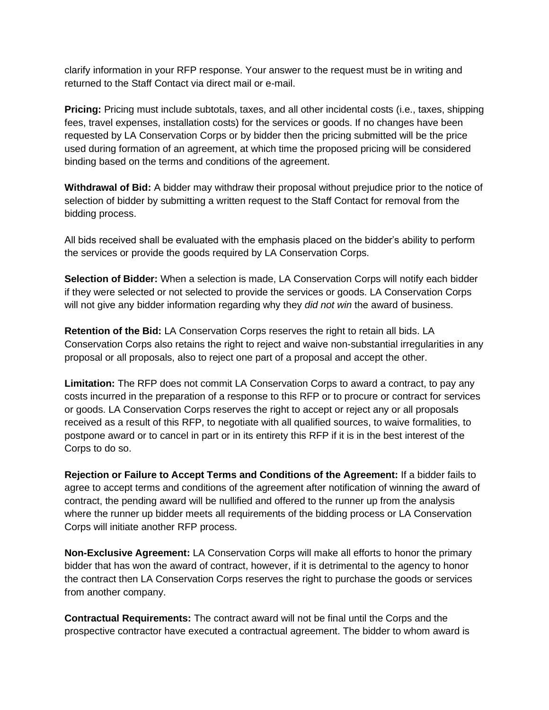clarify information in your RFP response. Your answer to the request must be in writing and returned to the Staff Contact via direct mail or e-mail.

**Pricing:** Pricing must include subtotals, taxes, and all other incidental costs (i.e., taxes, shipping fees, travel expenses, installation costs) for the services or goods. If no changes have been requested by LA Conservation Corps or by bidder then the pricing submitted will be the price used during formation of an agreement, at which time the proposed pricing will be considered binding based on the terms and conditions of the agreement.

**Withdrawal of Bid:** A bidder may withdraw their proposal without prejudice prior to the notice of selection of bidder by submitting a written request to the Staff Contact for removal from the bidding process.

All bids received shall be evaluated with the emphasis placed on the bidder's ability to perform the services or provide the goods required by LA Conservation Corps.

**Selection of Bidder:** When a selection is made, LA Conservation Corps will notify each bidder if they were selected or not selected to provide the services or goods. LA Conservation Corps will not give any bidder information regarding why they *did not win* the award of business.

**Retention of the Bid:** LA Conservation Corps reserves the right to retain all bids. LA Conservation Corps also retains the right to reject and waive non-substantial irregularities in any proposal or all proposals, also to reject one part of a proposal and accept the other.

**Limitation:** The RFP does not commit LA Conservation Corps to award a contract, to pay any costs incurred in the preparation of a response to this RFP or to procure or contract for services or goods. LA Conservation Corps reserves the right to accept or reject any or all proposals received as a result of this RFP, to negotiate with all qualified sources, to waive formalities, to postpone award or to cancel in part or in its entirety this RFP if it is in the best interest of the Corps to do so.

**Rejection or Failure to Accept Terms and Conditions of the Agreement:** If a bidder fails to agree to accept terms and conditions of the agreement after notification of winning the award of contract, the pending award will be nullified and offered to the runner up from the analysis where the runner up bidder meets all requirements of the bidding process or LA Conservation Corps will initiate another RFP process.

**Non-Exclusive Agreement:** LA Conservation Corps will make all efforts to honor the primary bidder that has won the award of contract, however, if it is detrimental to the agency to honor the contract then LA Conservation Corps reserves the right to purchase the goods or services from another company.

**Contractual Requirements:** The contract award will not be final until the Corps and the prospective contractor have executed a contractual agreement. The bidder to whom award is